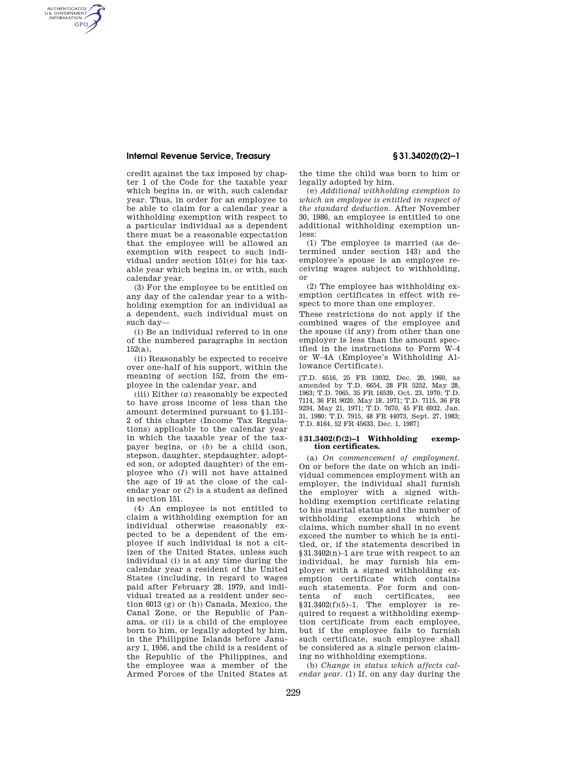### **Internal Revenue Service, Treasury § 31.3402(f)(2)–1**

AUTHENTICATED<br>U.S. GOVERNMENT<br>INFORMATION **GPO** 

> credit against the tax imposed by chapter 1 of the Code for the taxable year which begins in, or with, such calendar year. Thus, in order for an employee to be able to claim for a calendar year a withholding exemption with respect to a particular individual as a dependent there must be a reasonable expectation that the employee will be allowed an exemption with respect to such individual under section 151(e) for his taxable year which begins in, or with, such calendar year.

> (3) For the employee to be entitled on any day of the calendar year to a withholding exemption for an individual as a dependent, such individual must on such day—

> (i) Be an individual referred to in one of the numbered paragraphs in section 152(a),

> (ii) Reasonably be expected to receive over one-half of his support, within the meaning of section 152, from the employee in the calendar year, and

> (iii) Either (*a*) reasonably be expected to have gross income of less than the amount determined pursuant to §1.151– 2 of this chapter (Income Tax Regulations) applicable to the calendar year in which the taxable year of the taxpayer begins, or (*b*) be a child (son, stepson, daughter, stepdaughter, adopted son, or adopted daughter) of the employee who (*1*) will not have attained the age of 19 at the close of the calendar year or (*2*) is a student as defined in section 151.

> (4) An employee is not entitled to claim a withholding exemption for an individual otherwise reasonably expected to be a dependent of the employee if such individual is not a citizen of the United States, unless such individual (i) is at any time during the calendar year a resident of the United States (including, in regard to wages paid after February 28, 1979, and individual treated as a resident under section 6013 (g) or (h)) Canada, Mexico, the Canal Zone, or the Republic of Panama, or (ii) is a child of the employee born to him, or legally adopted by him, in the Philippine Islands before January 1, 1956, and the child is a resident of the Republic of the Philippines, and the employee was a member of the Armed Forces of the United States at

the time the child was born to him or legally adopted by him.

(e) *Additional withholding exemption to which an employee is entitled in respect of the standard deduction.* After November 30, 1986, an employee is entitled to one additional withholding exemption unless:

(1) The employee is married (as determined under section 143) and the employee's spouse is an employee receiving wages subject to withholding, or

(2) The employee has withholding exemption certificates in effect with respect to more than one employer.

These restrictions do not apply if the combined wages of the employee and the spouse (if any) from other than one employer is less than the amount specified in the instructions to Form W–4 or W–4A (Employee's Withholding Allowance Certificate).

[T.D. 6516, 25 FR 13032, Dec. 20, 1960, as amended by T.D. 6654, 28 FR 5252, May 28, 1963; T.D. 7065, 35 FR 16539, Oct. 23, 1970; T.D. 7114, 36 FR 9020, May 18, 1971; T.D. 7115, 36 FR 9234, May 21, 1971; T.D. 7670, 45 FR 6932, Jan. 31, 1980; T.D. 7915, 48 FR 44073, Sept. 27, 1983; T.D. 8164, 52 FR 45633, Dec. 1, 1987]

### **§ 31.3402(f)(2)–1 Withholding exemption certificates.**

(a) *On commencement of employment.*  On or before the date on which an individual commences employment with an employer, the individual shall furnish the employer with a signed withholding exemption certificate relating to his marital status and the number of withholding exemptions which he claims, which number shall in no event exceed the number to which he is entitled, or, if the statements described in §31.3402(n)–1 are true with respect to an individual, he may furnish his employer with a signed withholding exemption certificate which contains such statements. For form and contents of such certificates, see  $§31.3402(f)(5)-1$ . The employer is required to request a withholding exemption certificate from each employee, but if the employee fails to furnish such certificate, such employee shall be considered as a single person claiming no withholding exemptions.

(b) *Change in status which affects calendar year.* (1) If, on any day during the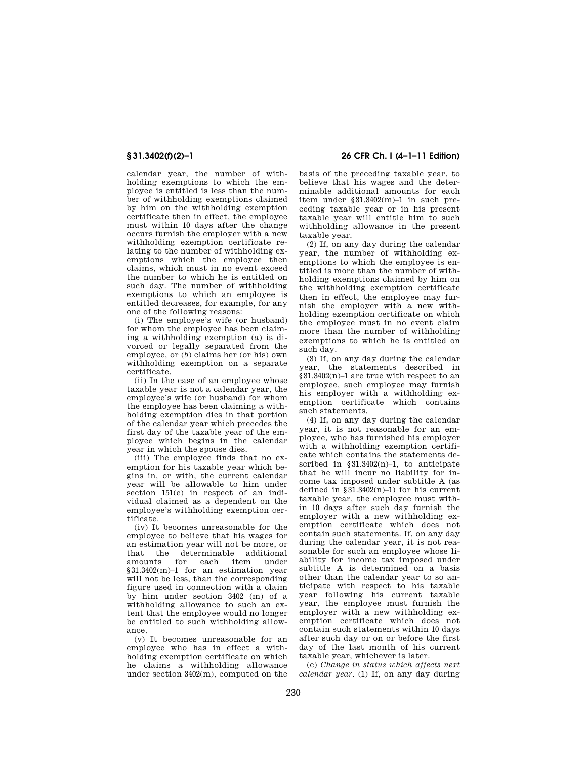calendar year, the number of withholding exemptions to which the employee is entitled is less than the number of withholding exemptions claimed by him on the withholding exemption certificate then in effect, the employee must within 10 days after the change occurs furnish the employer with a new withholding exemption certificate relating to the number of withholding exemptions which the employee then claims, which must in no event exceed the number to which he is entitled on such day. The number of withholding exemptions to which an employee is entitled decreases, for example, for any one of the following reasons:

(i) The employee's wife (or husband) for whom the employee has been claiming a withholding exemption (*a*) is divorced or legally separated from the employee, or (*b*) claims her (or his) own withholding exemption on a separate certificate.

(ii) In the case of an employee whose taxable year is not a calendar year, the employee's wife (or husband) for whom the employee has been claiming a withholding exemption dies in that portion of the calendar year which precedes the first day of the taxable year of the employee which begins in the calendar year in which the spouse dies.

(iii) The employee finds that no exemption for his taxable year which begins in, or with, the current calendar year will be allowable to him under section 151(e) in respect of an individual claimed as a dependent on the employee's withholding exemption certificate.

(iv) It becomes unreasonable for the employee to believe that his wages for an estimation year will not be more, or that the determinable additional amounts for each item under §31.3402(m)–1 for an estimation year will not be less, than the corresponding figure used in connection with a claim by him under section 3402 (m) of a withholding allowance to such an extent that the employee would no longer be entitled to such withholding allowance.

(v) It becomes unreasonable for an employee who has in effect a withholding exemption certificate on which he claims a withholding allowance under section 3402(m), computed on the

# **§ 31.3402(f)(2)–1 26 CFR Ch. I (4–1–11 Edition)**

basis of the preceding taxable year, to believe that his wages and the determinable additional amounts for each item under §31.3402(m)–1 in such preceding taxable year or in his present taxable year will entitle him to such withholding allowance in the present taxable year.

(2) If, on any day during the calendar year, the number of withholding exemptions to which the employee is entitled is more than the number of withholding exemptions claimed by him on the withholding exemption certificate then in effect, the employee may furnish the employer with a new withholding exemption certificate on which the employee must in no event claim more than the number of withholding exemptions to which he is entitled on such day.

(3) If, on any day during the calendar year, the statements described in §31.3402(n)–1 are true with respect to an employee, such employee may furnish his employer with a withholding exemption certificate which contains such statements.

(4) If, on any day during the calendar year, it is not reasonable for an employee, who has furnished his employer with a withholding exemption certificate which contains the statements described in §31.3402(n)-1, to anticipate that he will incur no liability for income tax imposed under subtitle A (as defined in  $\S 31.3402(n)-1$  for his current taxable year, the employee must within 10 days after such day furnish the employer with a new withholding exemption certificate which does not contain such statements. If, on any day during the calendar year, it is not reasonable for such an employee whose liability for income tax imposed under subtitle A is determined on a basis other than the calendar year to so anticipate with respect to his taxable year following his current taxable year, the employee must furnish the employer with a new withholding exemption certificate which does not contain such statements within 10 days after such day or on or before the first day of the last month of his current taxable year, whichever is later.

(c) *Change in status which affects next calendar year.* (1) If, on any day during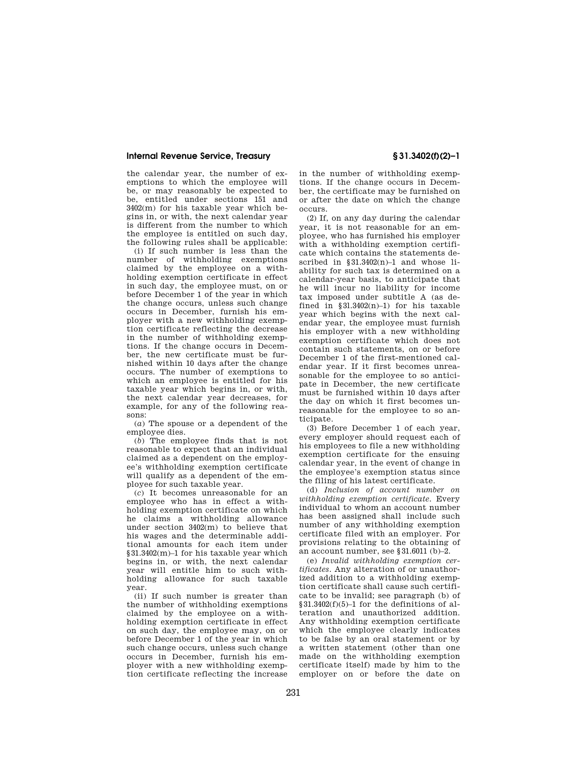## **Internal Revenue Service, Treasury § 31.3402(f)(2)–1**

the calendar year, the number of exemptions to which the employee will be, or may reasonably be expected to be, entitled under sections 151 and 3402(m) for his taxable year which begins in, or with, the next calendar year is different from the number to which the employee is entitled on such day, the following rules shall be applicable:

(i) If such number is less than the number of withholding exemptions claimed by the employee on a withholding exemption certificate in effect in such day, the employee must, on or before December 1 of the year in which the change occurs, unless such change occurs in December, furnish his employer with a new withholding exemption certificate reflecting the decrease in the number of withholding exemptions. If the change occurs in December, the new certificate must be furnished within 10 days after the change occurs. The number of exemptions to which an employee is entitled for his taxable year which begins in, or with, the next calendar year decreases, for example, for any of the following reasons:

(*a*) The spouse or a dependent of the employee dies.

(*b*) The employee finds that is not reasonable to expect that an individual claimed as a dependent on the employee's withholding exemption certificate will qualify as a dependent of the employee for such taxable year.

(*c*) It becomes unreasonable for an employee who has in effect a withholding exemption certificate on which he claims a withholding allowance under section 3402(m) to believe that his wages and the determinable additional amounts for each item under §31.3402(m)–1 for his taxable year which begins in, or with, the next calendar year will entitle him to such withholding allowance for such taxable year.

(ii) If such number is greater than the number of withholding exemptions claimed by the employee on a withholding exemption certificate in effect on such day, the employee may, on or before December 1 of the year in which such change occurs, unless such change occurs in December, furnish his employer with a new withholding exemption certificate reflecting the increase in the number of withholding exemptions. If the change occurs in December, the certificate may be furnished on or after the date on which the change occurs.

(2) If, on any day during the calendar year, it is not reasonable for an employee, who has furnished his employer with a withholding exemption certificate which contains the statements described in  $831.3402(n) - 1$  and whose liability for such tax is determined on a calendar-year basis, to anticipate that he will incur no liability for income tax imposed under subtitle A (as defined in  $$3l.3402(n)-1)$  for his taxable year which begins with the next calendar year, the employee must furnish his employer with a new withholding exemption certificate which does not contain such statements, on or before December 1 of the first-mentioned calendar year. If it first becomes unreasonable for the employee to so anticipate in December, the new certificate must be furnished within 10 days after the day on which it first becomes unreasonable for the employee to so anticipate.

(3) Before December 1 of each year, every employer should request each of his employees to file a new withholding exemption certificate for the ensuing calendar year, in the event of change in the employee's exemption status since the filing of his latest certificate.

(d) *Inclusion of account number on withholding exemption certificate.* Every individual to whom an account number has been assigned shall include such number of any withholding exemption certificate filed with an employer. For provisions relating to the obtaining of an account number, see §31.6011 (b)–2.

(e) *Invalid withholding exemption certificates.* Any alteration of or unauthorized addition to a withholding exemption certificate shall cause such certificate to be invalid; see paragraph (b) of  $§31.3402(f)(5)-1$  for the definitions of alteration and unauthorized addition. Any withholding exemption certificate which the employee clearly indicates to be false by an oral statement or by a written statement (other than one made on the withholding exemption certificate itself) made by him to the employer on or before the date on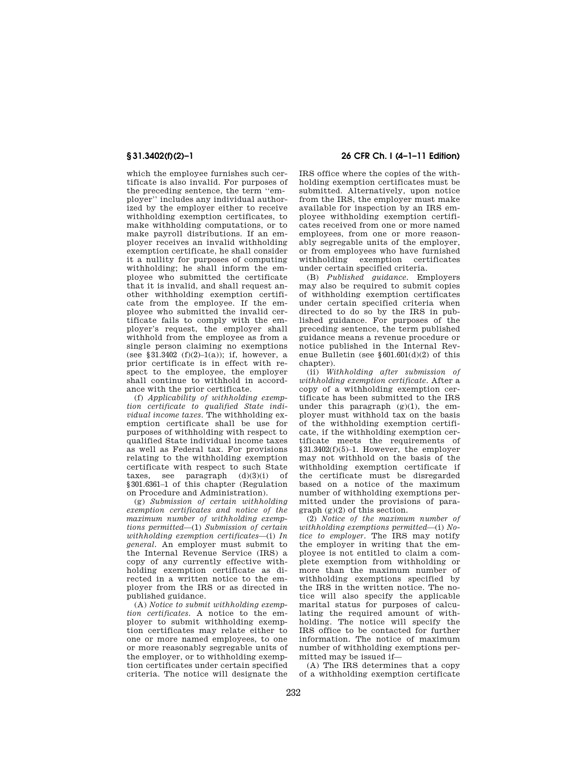which the employee furnishes such certificate is also invalid. For purposes of the preceding sentence, the term ''employer'' includes any individual authorized by the employer either to receive withholding exemption certificates, to make withholding computations, or to make payroll distributions. If an employer receives an invalid withholding exemption certificate, he shall consider it a nullity for purposes of computing withholding; he shall inform the employee who submitted the certificate that it is invalid, and shall request another withholding exemption certificate from the employee. If the employee who submitted the invalid certificate fails to comply with the employer's request, the employer shall withhold from the employee as from a single person claiming no exemptions (see §31.3402 (f)(2)-1(a)); if, however, a prior certificate is in effect with respect to the employee, the employer shall continue to withhold in accordance with the prior certificate.

(f) *Applicability of withholding exemption certificate to qualified State individual income taxes.* The withholding exemption certificate shall be use for purposes of withholding with respect to qualified State individual income taxes as well as Federal tax. For provisions relating to the withholding exemption certificate with respect to such State taxes, see paragraph  $(d)(3)(i)$  of §301.6361–1 of this chapter (Regulation on Procedure and Administration).

(g) *Submission of certain withholding exemption certificates and notice of the maximum number of withholding exemptions permitted*—(1) *Submission of certain withholding exemption certificates*—(i) *In general.* An employer must submit to the Internal Revenue Service (IRS) a copy of any currently effective withholding exemption certificate as directed in a written notice to the employer from the IRS or as directed in published guidance.

(A) *Notice to submit withholding exemption certificates.* A notice to the employer to submit withholding exemption certificates may relate either to one or more named employees, to one or more reasonably segregable units of the employer, or to withholding exemption certificates under certain specified criteria. The notice will designate the

## **§ 31.3402(f)(2)–1 26 CFR Ch. I (4–1–11 Edition)**

IRS office where the copies of the withholding exemption certificates must be submitted. Alternatively, upon notice from the IRS, the employer must make available for inspection by an IRS employee withholding exemption certificates received from one or more named employees, from one or more reasonably segregable units of the employer, or from employees who have furnished withholding exemption certificates under certain specified criteria.

(B) *Published guidance.* Employers may also be required to submit copies of withholding exemption certificates under certain specified criteria when directed to do so by the IRS in published guidance. For purposes of the preceding sentence, the term published guidance means a revenue procedure or notice published in the Internal Revenue Bulletin (see §601.601(d)(2) of this chapter).

(ii) *Withholding after submission of withholding exemption certificate.* After a copy of a withholding exemption certificate has been submitted to the IRS under this paragraph  $(g)(1)$ , the employer must withhold tax on the basis of the withholding exemption certificate, if the withholding exemption certificate meets the requirements of §31.3402(f)(5)–1. However, the employer may not withhold on the basis of the withholding exemption certificate if the certificate must be disregarded based on a notice of the maximum number of withholding exemptions permitted under the provisions of paragraph (g)(2) of this section.

(2) *Notice of the maximum number of withholding exemptions permitted*—(i) *Notice to employer.* The IRS may notify the employer in writing that the employee is not entitled to claim a complete exemption from withholding or more than the maximum number of withholding exemptions specified by the IRS in the written notice. The notice will also specify the applicable marital status for purposes of calculating the required amount of withholding. The notice will specify the IRS office to be contacted for further information. The notice of maximum number of withholding exemptions permitted may be issued if—

(A) The IRS determines that a copy of a withholding exemption certificate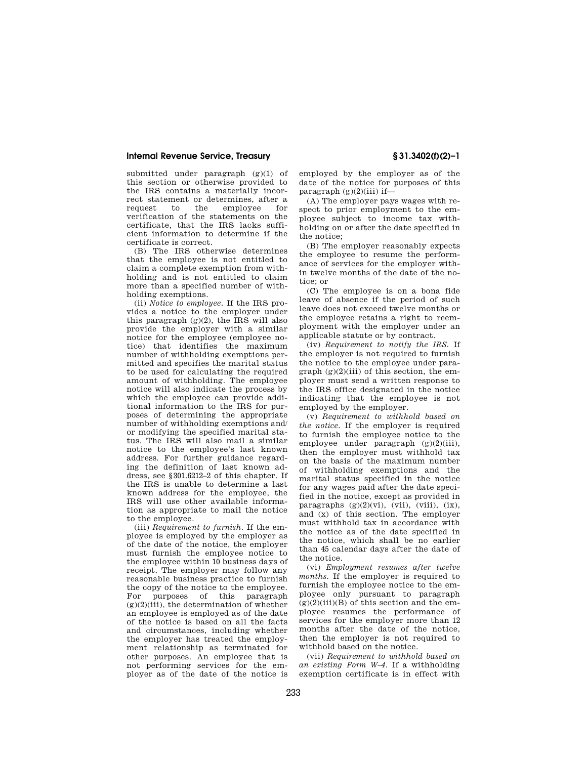## **Internal Revenue Service, Treasury § 31.3402(f)(2)–1**

submitted under paragraph (g)(1) of this section or otherwise provided to the IRS contains a materially incorrect statement or determines, after a<br>request to the employee for employee verification of the statements on the certificate, that the IRS lacks sufficient information to determine if the certificate is correct.

(B) The IRS otherwise determines that the employee is not entitled to claim a complete exemption from withholding and is not entitled to claim more than a specified number of withholding exemptions.

(ii) *Notice to employee.* If the IRS provides a notice to the employer under this paragraph (g)(2), the IRS will also provide the employer with a similar notice for the employee (employee notice) that identifies the maximum number of withholding exemptions permitted and specifies the marital status to be used for calculating the required amount of withholding. The employee notice will also indicate the process by which the employee can provide additional information to the IRS for purposes of determining the appropriate number of withholding exemptions and/ or modifying the specified marital status. The IRS will also mail a similar notice to the employee's last known address. For further guidance regarding the definition of last known address, see §301.6212–2 of this chapter. If the IRS is unable to determine a last known address for the employee, the IRS will use other available information as appropriate to mail the notice to the employee.

(iii) *Requirement to furnish.* If the employee is employed by the employer as of the date of the notice, the employer must furnish the employee notice to the employee within 10 business days of receipt. The employer may follow any reasonable business practice to furnish the copy of the notice to the employee. For purposes of this paragraph  $(g)(2)(iii)$ , the determination of whether an employee is employed as of the date of the notice is based on all the facts and circumstances, including whether the employer has treated the employment relationship as terminated for other purposes. An employee that is not performing services for the employer as of the date of the notice is

employed by the employer as of the date of the notice for purposes of this paragraph  $(g)(2)(iii)$  if—

(A) The employer pays wages with respect to prior employment to the employee subject to income tax withholding on or after the date specified in the notice;

(B) The employer reasonably expects the employee to resume the performance of services for the employer within twelve months of the date of the notice; or

(C) The employee is on a bona fide leave of absence if the period of such leave does not exceed twelve months or the employee retains a right to reemployment with the employer under an applicable statute or by contract.

(iv) *Requirement to notify the IRS.* If the employer is not required to furnish the notice to the employee under para $graph (g)(2)(iii)$  of this section, the employer must send a written response to the IRS office designated in the notice indicating that the employee is not employed by the employer.

(v) *Requirement to withhold based on the notice.* If the employer is required to furnish the employee notice to the employee under paragraph (g)(2)(iii), then the employer must withhold tax on the basis of the maximum number of withholding exemptions and the marital status specified in the notice for any wages paid after the date specified in the notice, except as provided in paragraphs  $(g)(2)(vi)$ ,  $(vii)$ ,  $(viii)$ ,  $(ix)$ , and (x) of this section. The employer must withhold tax in accordance with the notice as of the date specified in the notice, which shall be no earlier than 45 calendar days after the date of the notice.

(vi) *Employment resumes after twelve months.* If the employer is required to furnish the employee notice to the employee only pursuant to paragraph  $(g)(2)(iii)(B)$  of this section and the employee resumes the performance of services for the employer more than 12 months after the date of the notice, then the employer is not required to withhold based on the notice.

(vii) *Requirement to withhold based on an existing Form W–4.* If a withholding exemption certificate is in effect with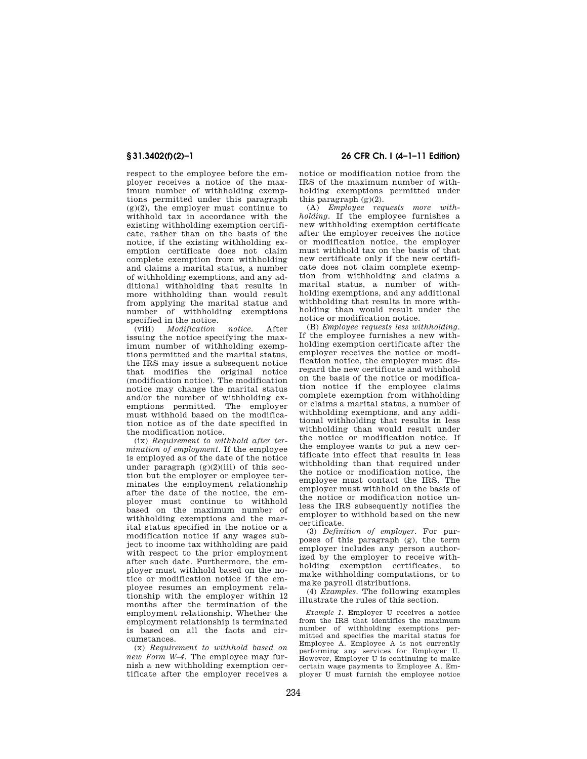respect to the employee before the employer receives a notice of the maximum number of withholding exemptions permitted under this paragraph  $(g)(2)$ , the employer must continue to withhold tax in accordance with the existing withholding exemption certificate, rather than on the basis of the notice, if the existing withholding exemption certificate does not claim complete exemption from withholding and claims a marital status, a number of withholding exemptions, and any additional withholding that results in more withholding than would result from applying the marital status and number of withholding exemptions specified in the notice.

(viii) *Modification notice.* After issuing the notice specifying the maximum number of withholding exemptions permitted and the marital status, the IRS may issue a subsequent notice that modifies the original notice (modification notice). The modification notice may change the marital status and/or the number of withholding exemptions permitted. The employer must withhold based on the modification notice as of the date specified in the modification notice.

(ix) *Requirement to withhold after termination of employment.* If the employee is employed as of the date of the notice under paragraph  $(g)(2)(iii)$  of this section but the employer or employee terminates the employment relationship after the date of the notice, the employer must continue to withhold based on the maximum number of withholding exemptions and the marital status specified in the notice or a modification notice if any wages subject to income tax withholding are paid with respect to the prior employment after such date. Furthermore, the employer must withhold based on the notice or modification notice if the employee resumes an employment relationship with the employer within 12 months after the termination of the employment relationship. Whether the employment relationship is terminated is based on all the facts and circumstances.

(x) *Requirement to withhold based on new Form W–4.* The employee may furnish a new withholding exemption certificate after the employer receives a

**§ 31.3402(f)(2)–1 26 CFR Ch. I (4–1–11 Edition)** 

notice or modification notice from the IRS of the maximum number of withholding exemptions permitted under this paragraph (g)(2).

(A) *Employee requests more withholding.* If the employee furnishes a new withholding exemption certificate after the employer receives the notice or modification notice, the employer must withhold tax on the basis of that new certificate only if the new certificate does not claim complete exemption from withholding and claims a marital status, a number of withholding exemptions, and any additional withholding that results in more withholding than would result under the notice or modification notice.

(B) *Employee requests less withholding.*  If the employee furnishes a new withholding exemption certificate after the employer receives the notice or modification notice, the employer must disregard the new certificate and withhold on the basis of the notice or modification notice if the employee claims complete exemption from withholding or claims a marital status, a number of withholding exemptions, and any additional withholding that results in less withholding than would result under the notice or modification notice. If the employee wants to put a new certificate into effect that results in less withholding than that required under the notice or modification notice, the employee must contact the IRS. The employer must withhold on the basis of the notice or modification notice unless the IRS subsequently notifies the employer to withhold based on the new certificate.

(3) *Definition of employer.* For purposes of this paragraph (g), the term employer includes any person authorized by the employer to receive withholding exemption certificates, to make withholding computations, or to make payroll distributions.

(4) *Examples.* The following examples illustrate the rules of this section.

*Example 1.* Employer U receives a notice from the IRS that identifies the maximum number of withholding exemptions permitted and specifies the marital status for Employee A. Employee A is not currently performing any services for Employer U. However, Employer U is continuing to make certain wage payments to Employee A. Employer U must furnish the employee notice